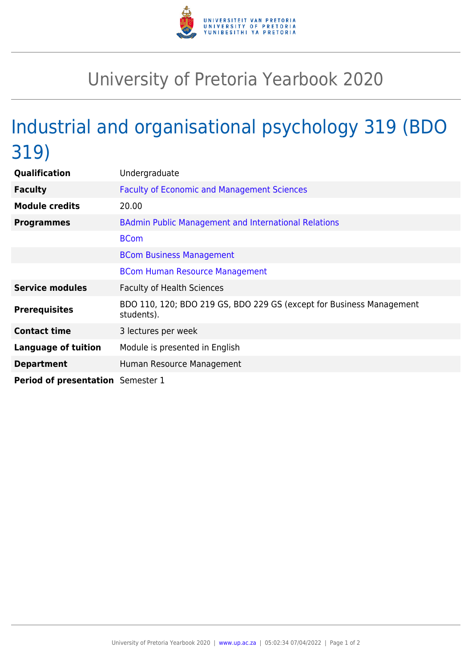

## University of Pretoria Yearbook 2020

# Industrial and organisational psychology 319 (BDO 319)

| Qualification                     | Undergraduate                                                                      |
|-----------------------------------|------------------------------------------------------------------------------------|
| <b>Faculty</b>                    | <b>Faculty of Economic and Management Sciences</b>                                 |
| <b>Module credits</b>             | 20.00                                                                              |
| <b>Programmes</b>                 | <b>BAdmin Public Management and International Relations</b>                        |
|                                   | <b>BCom</b>                                                                        |
|                                   | <b>BCom Business Management</b>                                                    |
|                                   | <b>BCom Human Resource Management</b>                                              |
| <b>Service modules</b>            | <b>Faculty of Health Sciences</b>                                                  |
| <b>Prerequisites</b>              | BDO 110, 120; BDO 219 GS, BDO 229 GS (except for Business Management<br>students). |
| <b>Contact time</b>               | 3 lectures per week                                                                |
| <b>Language of tuition</b>        | Module is presented in English                                                     |
| <b>Department</b>                 | Human Resource Management                                                          |
| Period of presentation Semester 1 |                                                                                    |